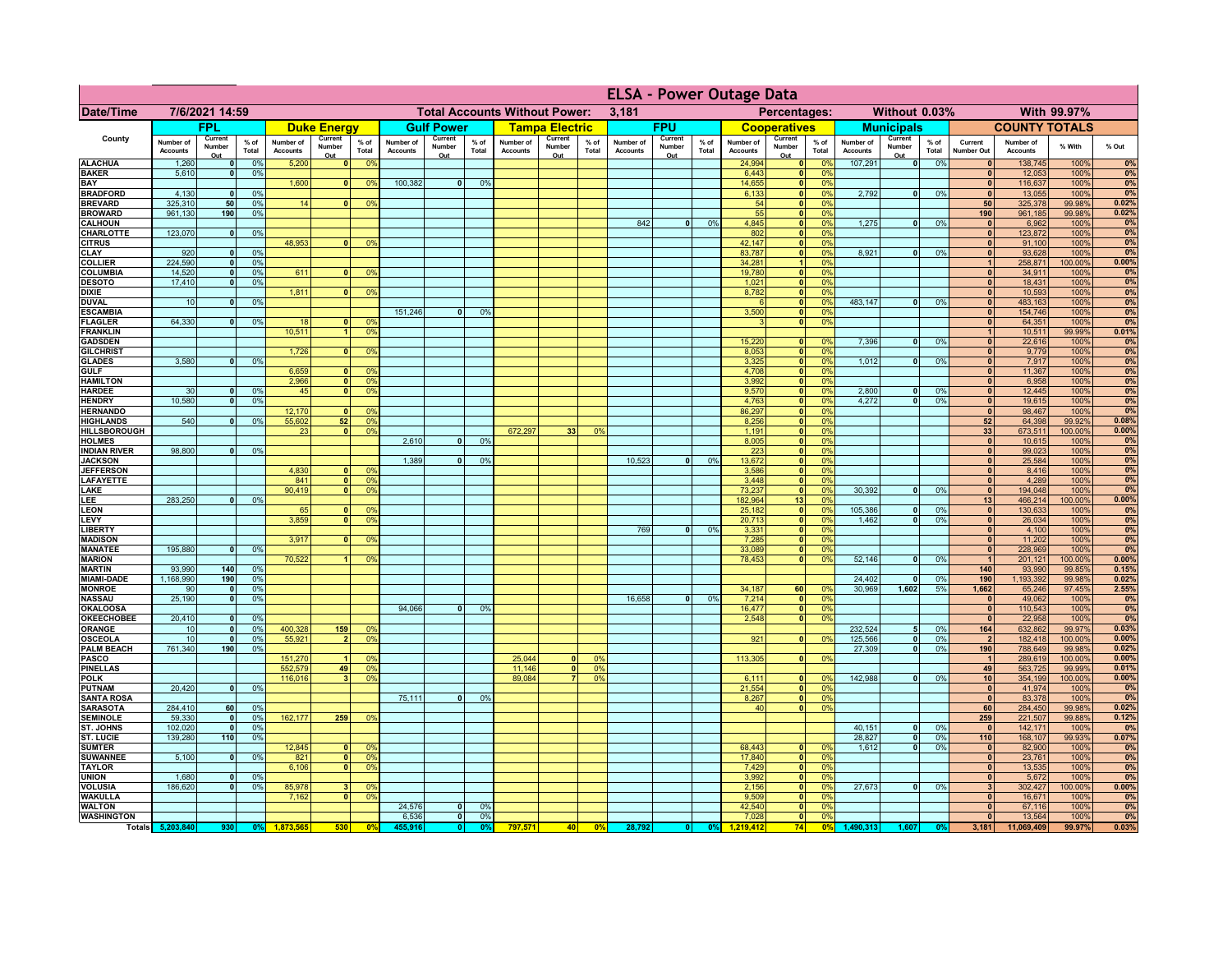|                                      |                              | <b>ELSA - Power Outage Data</b> |                 |                              |                          |                                  |                              |                          |                      |                                      |                          |                 |                              |                          |               |                              |                               |                                   |                              |                              |                 |                              |                              |                   |                |
|--------------------------------------|------------------------------|---------------------------------|-----------------|------------------------------|--------------------------|----------------------------------|------------------------------|--------------------------|----------------------|--------------------------------------|--------------------------|-----------------|------------------------------|--------------------------|---------------|------------------------------|-------------------------------|-----------------------------------|------------------------------|------------------------------|-----------------|------------------------------|------------------------------|-------------------|----------------|
| <b>Date/Time</b>                     |                              | 7/6/2021 14:59                  |                 |                              |                          |                                  |                              |                          |                      | <b>Total Accounts Without Power:</b> |                          |                 | 3,181                        |                          |               |                              | Percentages:                  |                                   |                              | Without 0.03%                |                 |                              |                              | With 99.97%       |                |
|                                      |                              | <b>FPL</b>                      |                 |                              | <b>Duke Energy</b>       |                                  |                              | <b>Gulf Power</b>        |                      |                                      | <b>Tampa Electric</b>    |                 |                              | <b>FPU</b>               |               |                              | <b>Cooperatives</b>           |                                   |                              | <b>Municipals</b>            |                 |                              | <b>COUNTY TOTALS</b>         |                   |                |
| County                               | Number of<br><b>Accounts</b> | Current<br>Number<br>Out        | $%$ of<br>Total | Number of<br><b>Accounts</b> | Current<br>Number<br>Out | $%$ of<br>Total                  | Number of<br><b>Accounts</b> | Current<br>Number<br>Out | $%$ of<br>Total      | Number of<br><b>Accounts</b>         | Current<br>Number<br>Out | $%$ of<br>Total | Number of<br><b>Accounts</b> | Current<br>Number<br>Out | % of<br>Total | Number of<br><b>Accounts</b> | Current<br>Number<br>Out      | $%$ of<br>Total                   | Number of<br><b>Accounts</b> | Current<br>Number<br>Out     | $%$ of<br>Total | Current<br><b>Number Out</b> | Number of<br><b>Accounts</b> | % With            | % Out          |
| <b>ALACHUA</b>                       | 1,260                        | $\mathbf{0}$                    | 0%              | 5,200                        | $\mathbf{0}$             | 0%                               |                              |                          |                      |                                      |                          |                 |                              |                          |               | 24,994                       | 0                             | 0%                                | 107,291                      | $\bullet$                    | 0%              | $\mathbf{0}$                 | 138,745                      | 100%              | 0%             |
| <b>BAKER</b><br>BAY                  | 5,610                        | $\mathbf{0}$                    | 0%              | 1,600                        |                          | 0 <sup>9</sup>                   | 100,382                      | $\mathbf{0}$             | 0 <sup>9</sup>       |                                      |                          |                 |                              |                          |               | 6,443<br>14,655              | 0                             | 0 <sup>9</sup><br> 0 <br>0%       |                              |                              |                 | $\mathbf{0}$<br>$\mathbf{0}$ | 12,053<br>116,637            | 100%<br>100%      | 0%<br>0%       |
| <b>BRADFORD</b>                      | 4,130                        | $\mathbf{0}$                    | 0%              |                              |                          |                                  |                              |                          |                      |                                      |                          |                 |                              |                          |               | 6,133                        | 0                             | 0%                                | 2,792                        | $\mathbf{0}$                 | 0%              | $\mathbf{0}$                 | 13,055                       | 100%              | 0%             |
| <b>BREVARD</b>                       | 325,310                      | 50                              | 0%              | 14                           |                          | 0 <sup>9</sup>                   |                              |                          |                      |                                      |                          |                 |                              |                          |               | 54                           | $\mathbf{0}$                  | 0%                                |                              |                              |                 | 50                           | 325,378                      | 99.98%            | 0.02%          |
| <b>BROWARD</b><br><b>CALHOUN</b>     | 961,130                      | 190                             | 0%              |                              |                          |                                  |                              |                          |                      |                                      |                          |                 | 842                          | $\bf{0}$                 | 0%            | 55<br>4,845                  | 0 <br> 0                      | 0%<br>0%                          | 1,275                        | $\mathbf{0}$                 | 0%              | 190<br>$\mathbf{0}$          | 961,185<br>6,962             | 99.98%<br>100%    | 0.02%<br>0%    |
| CHARLOTTE                            | 123,070                      | $\mathbf{0}$                    | 0%              |                              |                          |                                  |                              |                          |                      |                                      |                          |                 |                              |                          |               | 802                          | 0                             | 0%                                |                              |                              |                 | $\mathbf{0}$                 | 123,872                      | 100%              | 0%             |
| <b>CITRUS</b>                        |                              |                                 |                 | 48,953                       |                          | 0%                               |                              |                          |                      |                                      |                          |                 |                              |                          |               | 42,147                       | 0                             | 0%                                |                              |                              |                 | $\mathbf{0}$                 | 91,100                       | 100%              | 0%             |
| <b>CLAY</b><br><b>COLLIER</b>        | 920<br>224,590               | $\mathbf{0}$                    | 0%<br>0%        |                              |                          |                                  |                              |                          |                      |                                      |                          |                 |                              |                          |               | 83,787<br>34,281             | 0 <br>$\blacktriangleleft$    | 0%<br>0%                          | 8,921                        | $\mathbf{0}$                 | 0 <sup>9</sup>  | $\mathbf{0}$<br>$\mathbf{1}$ | 93,628<br>258,871            | 100%<br>100.00%   | 0%<br>0.00%    |
| <b>COLUMBIA</b>                      | 14,520                       | 0                               | 0%              | 611                          |                          | 0%                               |                              |                          |                      |                                      |                          |                 |                              |                          |               | 19,780                       | 0                             | 0%                                |                              |                              |                 | $\mathbf{0}$                 | 34,911                       | 100%              | 0%             |
| <b>DESOTO</b>                        | 17,410                       | $\mathbf{0}$                    | 0%              |                              |                          |                                  |                              |                          |                      |                                      |                          |                 |                              |                          |               | 1,021                        | 0                             | 0%                                |                              |                              |                 | $\mathbf{0}$                 | 18,431                       | 100%              | 0%             |
| <b>DIXIE</b>                         | 10                           |                                 | 0%              | 1,811                        | $\Omega$                 | 0%                               |                              |                          |                      |                                      |                          |                 |                              |                          |               | 8,782<br>6                   | 0 <br>$\overline{\mathbf{0}}$ | 0%<br>0%                          | 483,147                      |                              | 0%              | $\mathbf{0}$<br>$\mathbf{0}$ | 10,593<br>483,163            | 100%<br>100%      | 0%<br>0%       |
| <b>DUVAL</b><br><b>ESCAMBIA</b>      |                              | 0                               |                 |                              |                          |                                  | 151,246                      | 0                        | 0 <sup>9</sup>       |                                      |                          |                 |                              |                          |               | 3,500                        | $\overline{\mathbf{0}}$       | 0%                                |                              | $\bullet$                    |                 | $\overline{\mathbf{0}}$      | 154,746                      | 100%              | 0%             |
| <b>FLAGLER</b>                       | 64,330                       | $\mathbf{0}$                    | 0%              | 18                           | $\Omega$                 | 0%                               |                              |                          |                      |                                      |                          |                 |                              |                          |               | $\mathbf{3}$                 | $\overline{\mathbf{0}}$       | 0%                                |                              |                              |                 | $\mathbf{0}$                 | 64,351                       | 100%              | 0%             |
| <b>FRANKLIN</b>                      |                              |                                 |                 | 10.511                       | $\overline{1}$           | 0 <sup>9</sup>                   |                              |                          |                      |                                      |                          |                 |                              |                          |               |                              |                               |                                   |                              |                              |                 | 1 <sup>1</sup>               | 10,511                       | 99.99%            | 0.01%          |
| <b>GADSDEN</b><br><b>GILCHRIST</b>   |                              |                                 |                 | 1,726                        | $\mathbf{r}$             | 0%                               |                              |                          |                      |                                      |                          |                 |                              |                          |               | 15,220<br>8,053              |                               | 0 <br>0%<br> 0 <br>0%             | 7,396                        | $\mathbf{0}$                 | 0%              | $\mathbf{0}$<br> 0           | 22,616<br>9,779              | 100%<br>100%      | 0%<br>0%       |
| <b>GLADES</b>                        | 3,580                        | $\mathbf{0}$                    | 0%              |                              |                          |                                  |                              |                          |                      |                                      |                          |                 |                              |                          |               | 3,325                        |                               | 0 <br>0%                          | 1,012                        | $\bullet$                    | 0%              | $\mathbf{0}$                 | 7,917                        | 100%              | 0%             |
| <b>GULF</b>                          |                              |                                 |                 | 6,659                        | $\mathbf{0}$             | 0 <sup>9</sup>                   |                              |                          |                      |                                      |                          |                 |                              |                          |               | 4,708                        |                               | $\overline{0}$<br>0%              |                              |                              |                 | $\mathbf{0}$                 | 11,367                       | 100%              | 0%             |
| <b>HAMILTON</b><br><b>HARDEE</b>     | 30                           | $\mathbf{0}$                    | 0%              | 2,966<br>45                  | 0 <br>$\Omega$           | 0 <sup>9</sup><br>0 <sup>9</sup> |                              |                          |                      |                                      |                          |                 |                              |                          |               | 3,992<br>9,570               |                               | 0 <br>0%<br> 0 <br>0%             | 2,800                        | $\bullet$                    | 0%              | $\mathbf{0}$<br>$\mathbf{0}$ | 6,958<br>12,445              | 100%<br>100%      | 0%<br>0%       |
| <b>HENDRY</b>                        | 10.580                       | $\overline{0}$                  | 0%              |                              |                          |                                  |                              |                          |                      |                                      |                          |                 |                              |                          |               | 4,763                        |                               | $\overline{\bullet}$<br>0%        | 4.272                        | $\bullet$                    | 0%              | $\overline{\mathbf{0}}$      | 19,615                       | 100%              | 0%             |
| <b>HERNANDO</b>                      |                              |                                 |                 | 12,170                       |                          | 0 <sup>9</sup>                   |                              |                          |                      |                                      |                          |                 |                              |                          |               | 86,297                       |                               | $\overline{0}$<br>0%              |                              |                              |                 | $\overline{\mathbf{0}}$      | 98,467                       | 100%              | 0%             |
| <b>HIGHLANDS</b>                     | 540                          | $\Omega$                        | 0%              | 55,602                       | 52                       | 0 <sup>9</sup>                   |                              |                          |                      |                                      |                          |                 |                              |                          |               | 8.256                        |                               | 0 <br>0%                          |                              |                              |                 | 52                           | 64,398                       | 99.92%            | 0.08%          |
| <b>HILLSBOROUGH</b><br><b>HOLMES</b> |                              |                                 |                 | 23                           | $\sqrt{2}$               | 0%                               | 2,610                        | $\mathbf{r}$             | 0 <sup>9</sup>       | 672.297                              | 33 <sup>1</sup>          | 0 <sup>9</sup>  |                              |                          |               | 1,191<br>8,005               | 0                             | 0 <br>0%<br>0%                    |                              |                              |                 | 33<br>$\mathbf{0}$           | 673,511<br>10,615            | 100.00%<br>100%   | 0.00%<br>0%    |
| <b>INDIAN RIVER</b>                  | 98,800                       | $\mathbf{r}$                    | 0%              |                              |                          |                                  |                              |                          |                      |                                      |                          |                 |                              |                          |               | 223                          |                               | 0 <br>0%                          |                              |                              |                 | 0                            | 99,023                       | 100%              | 0%             |
| <b>JACKSON</b>                       |                              |                                 |                 |                              |                          |                                  | 1,389                        | $\mathbf{0}$             | 0%                   |                                      |                          |                 | 10,523                       | $\mathbf{0}$             | 0%            | 13,672                       |                               | 0 <br>0%                          |                              |                              |                 | 0                            | 25,584                       | 100%              | 0%             |
| <b>JEFFERSON</b><br>LAFAYETTE        |                              |                                 |                 | 4,830<br>841                 |                          | 0%<br>0 <sup>9</sup>             |                              |                          |                      |                                      |                          |                 |                              |                          |               | 3,586<br>3,448               |                               | 0 <br>0%<br> 0 <br>0%             |                              |                              |                 | 0 <br> 0                     | 8,416<br>4,289               | 100%<br>100%      | 0%<br>0%       |
| LAKE                                 |                              |                                 |                 | 90,419                       |                          | 0 <sup>9</sup>                   |                              |                          |                      |                                      |                          |                 |                              |                          |               | 73,237                       |                               | 0 <br>0%                          | 30,392                       | $\mathbf{0}$                 | 0%              | 0                            | 194,048                      | 100%              | 0%             |
| LEE                                  | 283,250                      | $\Omega$                        | 0%              |                              |                          |                                  |                              |                          |                      |                                      |                          |                 |                              |                          |               | 182,964                      | 13                            | 0%                                |                              |                              |                 | 13                           | 466,214                      | 100.00%           | 0.00%          |
| LEON<br>LEVY                         |                              |                                 |                 | 65<br>3,859                  | $\mathbf{0}$             | 0 <sup>9</sup><br>0%             |                              |                          |                      |                                      |                          |                 |                              |                          |               | 25,182<br>20,713             |                               | 0 <br>0%<br> 0 <br>0%             | 105,386<br>1,462             | $\mathbf{0}$<br>$\mathbf{0}$ | 0%<br>0%        | 0 <br> 0                     | 130,633<br>26,034            | 100%<br>100%      | 0%<br>0%       |
| <b>LIBERTY</b>                       |                              |                                 |                 |                              |                          |                                  |                              |                          |                      |                                      |                          |                 | 769                          | $\mathbf{0}$             | 0%            | 3,331                        |                               | 0 <br>0%                          |                              |                              |                 | 0                            | 4,100                        | 100%              | 0%             |
| <b>MADISON</b>                       |                              |                                 |                 | 3,917                        |                          | 0 <sup>9</sup>                   |                              |                          |                      |                                      |                          |                 |                              |                          |               | 7,285                        |                               | 0 <br>0%                          |                              |                              |                 | 0                            | 11,202                       | 100%              | 0%             |
| <b>MANATEE</b>                       | 195,880                      | 0                               | 0%              |                              |                          |                                  |                              |                          |                      |                                      |                          |                 |                              |                          |               | 33,089                       |                               | 0 <br>0%                          |                              |                              |                 | 0                            | 228,969                      | 100%              | 0%<br>0.00%    |
| <b>MARION</b><br><b>MARTIN</b>       | 93,990                       | 140                             | 0%              | 70,522                       |                          | 0%                               |                              |                          |                      |                                      |                          |                 |                              |                          |               | 78,453                       |                               | 0%<br> 0                          | 52,146                       | $\mathbf{0}$                 | 0%              | $\vert$ 1<br>140             | 201,121<br>93,990            | 100.00%<br>99.85% | 0.15%          |
| <b>MIAMI-DADE</b>                    | 1,168,990                    | 190                             | 0%              |                              |                          |                                  |                              |                          |                      |                                      |                          |                 |                              |                          |               |                              |                               |                                   | 24,402                       | $\mathbf{0}$                 | 0%              | 190                          | 1,193,392                    | 99.98%            | 0.02%          |
| <b>MONROE</b>                        | 90                           | 0                               | 0%              |                              |                          |                                  |                              |                          |                      |                                      |                          |                 |                              |                          |               | 34,187                       | 60                            | 0%                                | 30,969                       | 1,602                        | 5%              | 1,662                        | 65,246                       | 97.45%            | 2.55%          |
| <b>NASSAU</b><br>OKALOOS/            | 25,190                       | 0                               | 0%              |                              |                          |                                  | 94,066                       | 0                        | 0%                   |                                      |                          |                 | 16,658                       | $\Omega$                 | 0%            | 7,214<br>16,477              | 0 <br> 0                      | 0%<br>0%                          |                              |                              |                 | 0 <br> 0                     | 49,062<br>110,543            | 100%<br>100%      | 0%<br>0%       |
| <b>OKEECHOBEE</b>                    | 20,410                       | $\mathbf{0}$                    | 0%              |                              |                          |                                  |                              |                          |                      |                                      |                          |                 |                              |                          |               | 2,548                        |                               | 0%<br> 0                          |                              |                              |                 | 0                            | 22,958                       | 100%              | 0%             |
| <b>ORANGE</b>                        | 10                           | 0                               | 0%              | 400,328                      | 159                      | 0%                               |                              |                          |                      |                                      |                          |                 |                              |                          |               |                              |                               |                                   | 232,524                      | $5\phantom{.0}$              | 0%              | 164                          | 632,862                      | 99.97%            | 0.03%          |
| <b>OSCEOLA</b><br><b>PALM BEACH</b>  | 10<br>761,340                | $\Omega$<br>190                 | 0%<br>0%        | 55,921                       | $\overline{2}$           | 0%                               |                              |                          |                      |                                      |                          |                 |                              |                          |               | 921                          |                               | 0%<br> 0                          | 125,566<br>27,309            | $\mathbf 0$<br>$\mathbf{0}$  | 0%<br>0%        | $\bullet$<br>190             | 182,418<br>788,649           | 100.00%<br>99.98% | 0.00%<br>0.02% |
| <b>PASCO</b>                         |                              |                                 |                 | 151,270                      | 4                        | 0%                               |                              |                          |                      | 25,044                               | $\overline{0}$           | 0 <sup>9</sup>  |                              |                          |               | 113,305                      |                               | 0 <br>0%                          |                              |                              |                 | $\vert$ 1                    | 289,619                      | 100.00%           | 0.00%          |
| <b>PINELLAS</b>                      |                              |                                 |                 | 552,579                      | 49                       | 0 <sup>9</sup>                   |                              |                          |                      | 11,146                               | $\overline{0}$           | 0 <sup>9</sup>  |                              |                          |               |                              |                               |                                   |                              |                              |                 | 49                           | 563,725                      | 99.99%            | 0.01%          |
| <b>POLK</b><br><b>PUTNAM</b>         | 20,420                       | $\mathbf{0}$                    | 0%              | 116,016                      | 3                        | 0 <sup>9</sup>                   |                              |                          |                      | 89,084                               |                          | 0 <sup>9</sup>  |                              |                          |               | 6,111                        |                               | 0 <br>O <sup>o</sup><br>0%        | 142,988                      | 0                            | 0%              | 10                           | 354,199                      | 100.00%           | 0.00%<br>0%    |
| <b>SANTA ROSA</b>                    |                              |                                 |                 |                              |                          |                                  | 75,111                       |                          | 0%<br>$\mathbf{0}$   |                                      |                          |                 |                              |                          |               | 21,554<br>8,267              |                               | 0 <br> 0 <br>0%                   |                              |                              |                 | 0 <br>$\mathbf{0}$           | 41,974<br>83,378             | 100%<br>100%      | 0%             |
| <b>SARASOTA</b>                      | 284,410                      | 60                              | 0%              |                              |                          |                                  |                              |                          |                      |                                      |                          |                 |                              |                          |               | 40                           |                               | $\overline{0}$<br>0%              |                              |                              |                 | 60                           | 284,450                      | 99.98%            | 0.02%          |
| <b>SEMINOLE</b><br>ST. JOHNS         | 59.330<br>102.020            | -ol                             | 0%<br>0%        | 162,177                      | 259                      | 0%                               |                              |                          |                      |                                      |                          |                 |                              |                          |               |                              |                               |                                   | 40.151                       |                              |                 | 259                          | 221,507<br>142.171           | 99.88%            | 0.12%<br>0%    |
| <b>ST. LUCIE</b>                     | 139,280                      | - Ol<br>110                     | 0%              |                              |                          |                                  |                              |                          |                      |                                      |                          |                 |                              |                          |               |                              |                               |                                   | 28.827                       | $\mathbf{0}$<br>$\mathbf{0}$ | 0%<br>0%        | $\mathbf{0}$<br>110          | 168,107                      | 100%<br>99.93%    | 0.07%          |
| <b>SUMTER</b>                        |                              |                                 |                 | 12,845                       |                          | 0 <sup>9</sup>                   |                              |                          |                      |                                      |                          |                 |                              |                          |               | 68,443                       | 0                             | 0%                                | 1,612                        | $\bullet$                    | 0%              | $\mathbf{0}$                 | 82,900                       | 100%              | 0%             |
| SUWANNEE                             | 5,100                        | 0                               | 0%              | 821                          | $\mathbf{0}$             | 0 <sup>9</sup>                   |                              |                          |                      |                                      |                          |                 |                              |                          |               | 17,840                       |                               | 0 <br>0%                          |                              |                              |                 | $\mathbf{0}$                 | 23,761                       | 100%              | 0%             |
| <b>TAYLOR</b><br><b>UNION</b>        | 1,680                        | $\mathbf{0}$                    | 0%              | 6,106                        |                          | 0%                               |                              |                          |                      |                                      |                          |                 |                              |                          |               | 7,429<br>3,992               |                               | 0 <br>0%<br> 0 <br>0%             |                              |                              |                 | $\mathbf{0}$<br>$\mathbf{0}$ | 13,535<br>5,672              | 100%<br>100%      | 0%<br>0%       |
| <b>VOLUSIA</b>                       | 186,620                      | $\mathbf{0}$                    | 0%              | 85,978                       |                          | 0 <sup>9</sup>                   |                              |                          |                      |                                      |                          |                 |                              |                          |               | 2,156                        |                               | 0 <br>0%                          | 27,673                       | $\mathbf{0}$                 | 0%              | $\overline{\mathbf{3}}$      | 302,427                      | 100.00%           | 0.00%          |
| <b>WAKULLA</b>                       |                              |                                 |                 | 7,162                        |                          | 0 <sup>9</sup>                   |                              |                          |                      |                                      |                          |                 |                              |                          |               | 9,509                        |                               | 0 <br>0%                          |                              |                              |                 | $\mathbf{0}$                 | 16,671                       | 100%              | 0%             |
| <b>WALTON</b><br><b>WASHINGTON</b>   |                              |                                 |                 |                              |                          |                                  | 24,576<br>6,536              | $\mathbf{0}$<br> 0       | 0 <sup>9</sup><br>0% |                                      |                          |                 |                              |                          |               | 42,540<br>7,028              |                               | $\overline{0}$<br>0%<br> 0 <br>0% |                              |                              |                 | $\mathbf{0}$<br>$\mathbf{0}$ | 67,116<br>13,564             | 100%<br>100%      | 0%<br>0%       |
|                                      | Totals 5,203,840             | 930                             | 0%              | 1,873,565                    | 530                      | 0 <sup>o</sup>                   | 455,916                      | 0                        | 0 <sup>9</sup>       | 797,571                              | <b>40</b>                | 0%              | 28,792                       | $\mathbf{0}$             | 0%            | 1,219,412                    | 74                            | 0%                                | 1,490,313                    | 1,607                        | 0%              | 3,181                        | 11.069.409                   | 99.97%            | 0.03%          |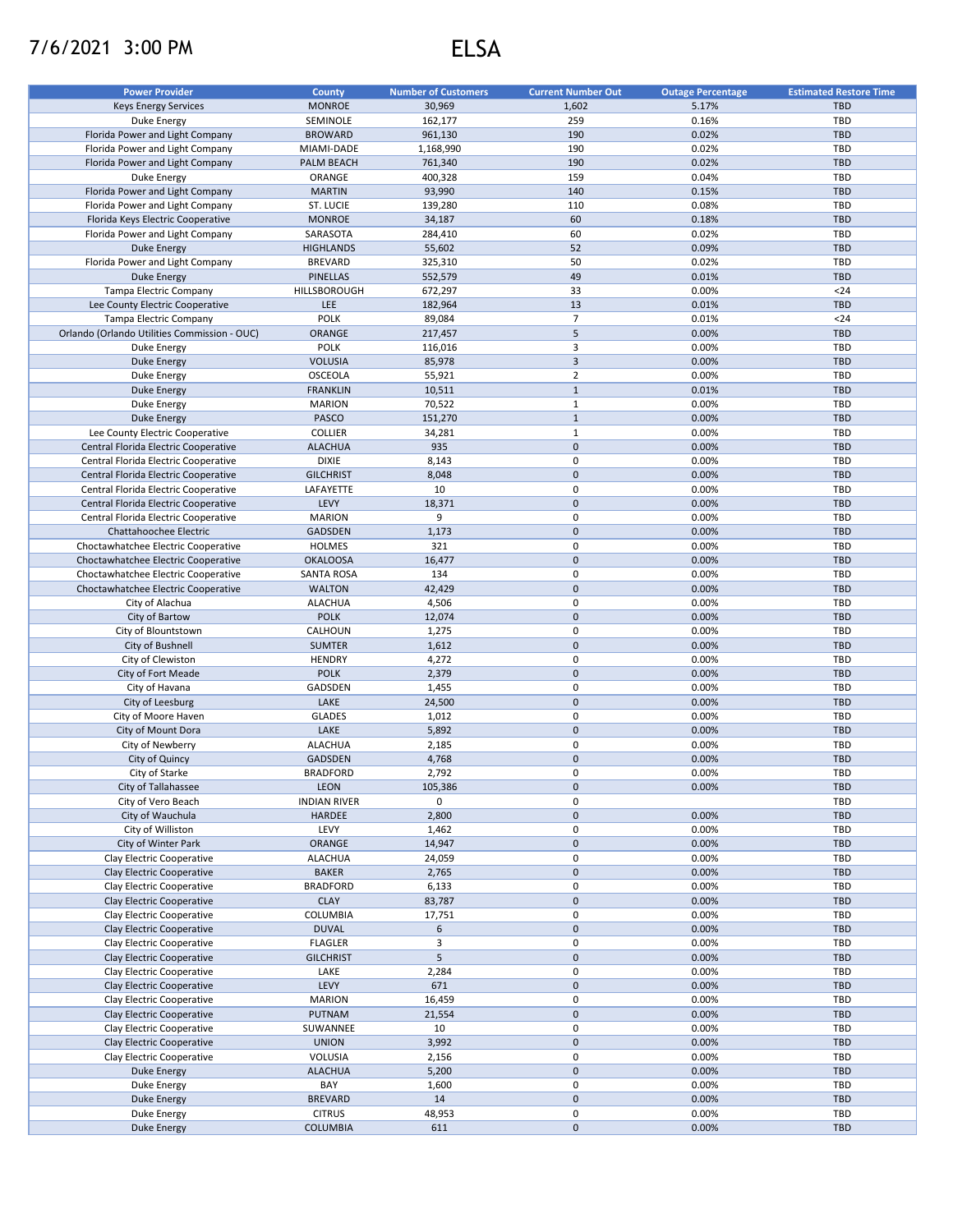## 7/6/2021 3:00 PM ELSA

| <b>Power Provider</b>                        | <b>County</b>       | <b>Number of Customers</b> | <b>Current Number Out</b> | <b>Outage Percentage</b> | <b>Estimated Restore Time</b> |
|----------------------------------------------|---------------------|----------------------------|---------------------------|--------------------------|-------------------------------|
| <b>Keys Energy Services</b>                  | <b>MONROE</b>       | 30,969                     | 1,602                     | 5.17%                    | <b>TBD</b>                    |
| Duke Energy                                  | SEMINOLE            | 162,177                    | 259                       | 0.16%                    | TBD                           |
| Florida Power and Light Company              | <b>BROWARD</b>      | 961,130                    | 190                       | 0.02%                    | <b>TBD</b>                    |
| Florida Power and Light Company              | MIAMI-DADE          | 1,168,990                  | 190                       | 0.02%                    | TBD                           |
| Florida Power and Light Company              | PALM BEACH          | 761,340                    | 190                       | 0.02%                    | <b>TBD</b>                    |
| <b>Duke Energy</b>                           | ORANGE              | 400,328                    | 159                       | 0.04%                    | TBD                           |
| Florida Power and Light Company              | <b>MARTIN</b>       | 93,990                     | 140                       | 0.15%                    | <b>TBD</b>                    |
| Florida Power and Light Company              | ST. LUCIE           | 139,280                    | 110                       | 0.08%                    | TBD                           |
| Florida Keys Electric Cooperative            | <b>MONROE</b>       | 34,187                     | 60                        | 0.18%                    | <b>TBD</b>                    |
| Florida Power and Light Company              | SARASOTA            | 284,410                    | 60                        | 0.02%                    | TBD                           |
| <b>Duke Energy</b>                           | <b>HIGHLANDS</b>    | 55,602                     | 52                        | 0.09%                    | <b>TBD</b>                    |
| Florida Power and Light Company              | <b>BREVARD</b>      | 325,310                    | 50                        | 0.02%                    | TBD                           |
| <b>Duke Energy</b>                           | <b>PINELLAS</b>     | 552,579                    | 49                        | 0.01%                    | <b>TBD</b>                    |
|                                              |                     |                            |                           |                          |                               |
| Tampa Electric Company                       | HILLSBOROUGH        | 672,297                    | 33                        | 0.00%                    | $24$                          |
| Lee County Electric Cooperative              | <b>LEE</b>          | 182,964                    | 13                        | 0.01%                    | <b>TBD</b>                    |
| <b>Tampa Electric Company</b>                | <b>POLK</b>         | 89,084                     | $\overline{7}$            | 0.01%                    | $24$                          |
| Orlando (Orlando Utilities Commission - OUC) | ORANGE              | 217,457                    | 5                         | 0.00%                    | <b>TBD</b>                    |
| Duke Energy                                  | <b>POLK</b>         | 116,016                    | 3                         | 0.00%                    | TBD                           |
| Duke Energy                                  | <b>VOLUSIA</b>      | 85,978                     | $\overline{3}$            | 0.00%                    | <b>TBD</b>                    |
| <b>Duke Energy</b>                           | <b>OSCEOLA</b>      | 55,921                     | $\overline{2}$            | 0.00%                    | TBD                           |
| <b>Duke Energy</b>                           | <b>FRANKLIN</b>     | 10,511                     | $\mathbf{1}$              | 0.01%                    | <b>TBD</b>                    |
| Duke Energy                                  | <b>MARION</b>       | 70,522                     | $\mathbf{1}$              | 0.00%                    | TBD                           |
| <b>Duke Energy</b>                           | PASCO               | 151,270                    | $\mathbf{1}$              | 0.00%                    | <b>TBD</b>                    |
| Lee County Electric Cooperative              | <b>COLLIER</b>      | 34,281                     | $\mathbf{1}$              | 0.00%                    | TBD                           |
| Central Florida Electric Cooperative         | <b>ALACHUA</b>      | 935                        | $\mathbf 0$               | 0.00%                    | <b>TBD</b>                    |
| Central Florida Electric Cooperative         | <b>DIXIE</b>        | 8,143                      | 0                         | 0.00%                    | TBD                           |
| Central Florida Electric Cooperative         | <b>GILCHRIST</b>    | 8,048                      | $\pmb{0}$                 | 0.00%                    | <b>TBD</b>                    |
| Central Florida Electric Cooperative         | LAFAYETTE           | 10                         | 0                         | 0.00%                    | TBD                           |
| Central Florida Electric Cooperative         | LEVY                | 18,371                     | $\mathsf{O}\xspace$       | 0.00%                    | <b>TBD</b>                    |
| Central Florida Electric Cooperative         | <b>MARION</b>       | 9                          | 0                         | 0.00%                    | TBD                           |
| Chattahoochee Electric                       | GADSDEN             | 1,173                      | $\mathsf{O}\xspace$       | 0.00%                    | <b>TBD</b>                    |
| Choctawhatchee Electric Cooperative          | HOLMES              | 321                        | $\pmb{0}$                 | 0.00%                    | TBD                           |
| Choctawhatchee Electric Cooperative          | <b>OKALOOSA</b>     | 16,477                     | $\pmb{0}$                 | 0.00%                    | <b>TBD</b>                    |
|                                              |                     | 134                        | 0                         | 0.00%                    | TBD                           |
| Choctawhatchee Electric Cooperative          | <b>SANTA ROSA</b>   |                            |                           |                          |                               |
| Choctawhatchee Electric Cooperative          | <b>WALTON</b>       | 42,429                     | $\pmb{0}$                 | 0.00%                    | <b>TBD</b>                    |
| City of Alachua                              | <b>ALACHUA</b>      | 4,506                      | 0                         | 0.00%                    | <b>TBD</b>                    |
| City of Bartow                               | <b>POLK</b>         | 12,074                     | $\pmb{0}$                 | 0.00%                    | <b>TBD</b>                    |
| City of Blountstown                          | CALHOUN             | 1,275                      | 0                         | 0.00%                    | <b>TBD</b>                    |
| City of Bushnell                             | <b>SUMTER</b>       | 1,612                      | $\pmb{0}$                 | 0.00%                    | <b>TBD</b>                    |
| City of Clewiston                            | <b>HENDRY</b>       | 4,272                      | 0                         | 0.00%                    | <b>TBD</b>                    |
| City of Fort Meade                           | <b>POLK</b>         | 2,379                      | $\mathbf 0$               | 0.00%                    | <b>TBD</b>                    |
| City of Havana                               | GADSDEN             | 1,455                      | 0                         | 0.00%                    | <b>TBD</b>                    |
| City of Leesburg                             | LAKE                | 24,500                     | $\mathbf 0$               | 0.00%                    | <b>TBD</b>                    |
| City of Moore Haven                          | <b>GLADES</b>       | 1,012                      | $\pmb{0}$                 | 0.00%                    | TBD                           |
| City of Mount Dora                           | LAKE                | 5,892                      | $\mathbf 0$               | 0.00%                    | <b>TBD</b>                    |
| City of Newberry                             | <b>ALACHUA</b>      | 2,185                      | 0                         | 0.00%                    | TBD                           |
| City of Quincy                               | <b>GADSDEN</b>      | 4,768                      | $\mathsf{O}\xspace$       | 0.00%                    | <b>TBD</b>                    |
| City of Starke                               | <b>BRADFORD</b>     | 2,792                      | 0                         | 0.00%                    | TBD                           |
| City of Tallahassee                          | <b>LEON</b>         | 105,386                    | 0                         | 0.00%                    | <b>TBD</b>                    |
| City of Vero Beach                           | <b>INDIAN RIVER</b> | 0                          | 0                         |                          | TBD                           |
| City of Wauchula                             | <b>HARDEE</b>       | 2,800                      | $\pmb{0}$                 | 0.00%                    | <b>TBD</b>                    |
| City of Williston                            | LEVY                | 1,462                      | 0                         | 0.00%                    | TBD                           |
| City of Winter Park                          | ORANGE              | 14,947                     | $\pmb{0}$                 | 0.00%                    | <b>TBD</b>                    |
| Clay Electric Cooperative                    | <b>ALACHUA</b>      | 24,059                     | 0                         | 0.00%                    | TBD                           |
| Clay Electric Cooperative                    | <b>BAKER</b>        | 2,765                      | $\mathsf{O}\xspace$       | 0.00%                    | <b>TBD</b>                    |
| Clay Electric Cooperative                    | <b>BRADFORD</b>     | 6,133                      | 0                         | 0.00%                    | TBD                           |
| Clay Electric Cooperative                    | <b>CLAY</b>         | 83,787                     | $\pmb{0}$                 | 0.00%                    | <b>TBD</b>                    |
|                                              | COLUMBIA            |                            | 0                         | 0.00%                    | TBD                           |
| Clay Electric Cooperative                    |                     | 17,751                     | $\mathbf 0$               |                          | <b>TBD</b>                    |
| Clay Electric Cooperative                    | <b>DUVAL</b>        | 6                          |                           | 0.00%                    |                               |
| Clay Electric Cooperative                    | <b>FLAGLER</b>      | 3                          | 0                         | 0.00%                    | TBD                           |
| Clay Electric Cooperative                    | <b>GILCHRIST</b>    | 5                          | $\pmb{0}$                 | 0.00%                    | <b>TBD</b>                    |
| Clay Electric Cooperative                    | LAKE                | 2,284                      | $\pmb{0}$                 | 0.00%                    | TBD                           |
| Clay Electric Cooperative                    | LEVY                | 671                        | $\pmb{0}$                 | 0.00%                    | <b>TBD</b>                    |
| Clay Electric Cooperative                    | <b>MARION</b>       | 16,459                     | 0                         | 0.00%                    | TBD                           |
| Clay Electric Cooperative                    | <b>PUTNAM</b>       | 21,554                     | $\pmb{0}$                 | 0.00%                    | <b>TBD</b>                    |
| Clay Electric Cooperative                    | SUWANNEE            | 10                         | 0                         | 0.00%                    | TBD                           |
| Clay Electric Cooperative                    | <b>UNION</b>        | 3,992                      | $\pmb{0}$                 | 0.00%                    | <b>TBD</b>                    |
| Clay Electric Cooperative                    | VOLUSIA             | 2,156                      | 0                         | 0.00%                    | TBD                           |
| Duke Energy                                  | <b>ALACHUA</b>      | 5,200                      | $\pmb{0}$                 | 0.00%                    | <b>TBD</b>                    |
| Duke Energy                                  | BAY                 | 1,600                      | 0                         | 0.00%                    | TBD                           |
| Duke Energy                                  | <b>BREVARD</b>      | 14                         | $\mathsf{O}\xspace$       | 0.00%                    | <b>TBD</b>                    |
| Duke Energy                                  | <b>CITRUS</b>       | 48,953                     | 0                         | 0.00%                    | TBD                           |
| <b>Duke Energy</b>                           | <b>COLUMBIA</b>     | 611                        | $\mathsf{O}\xspace$       | 0.00%                    | TBD                           |
|                                              |                     |                            |                           |                          |                               |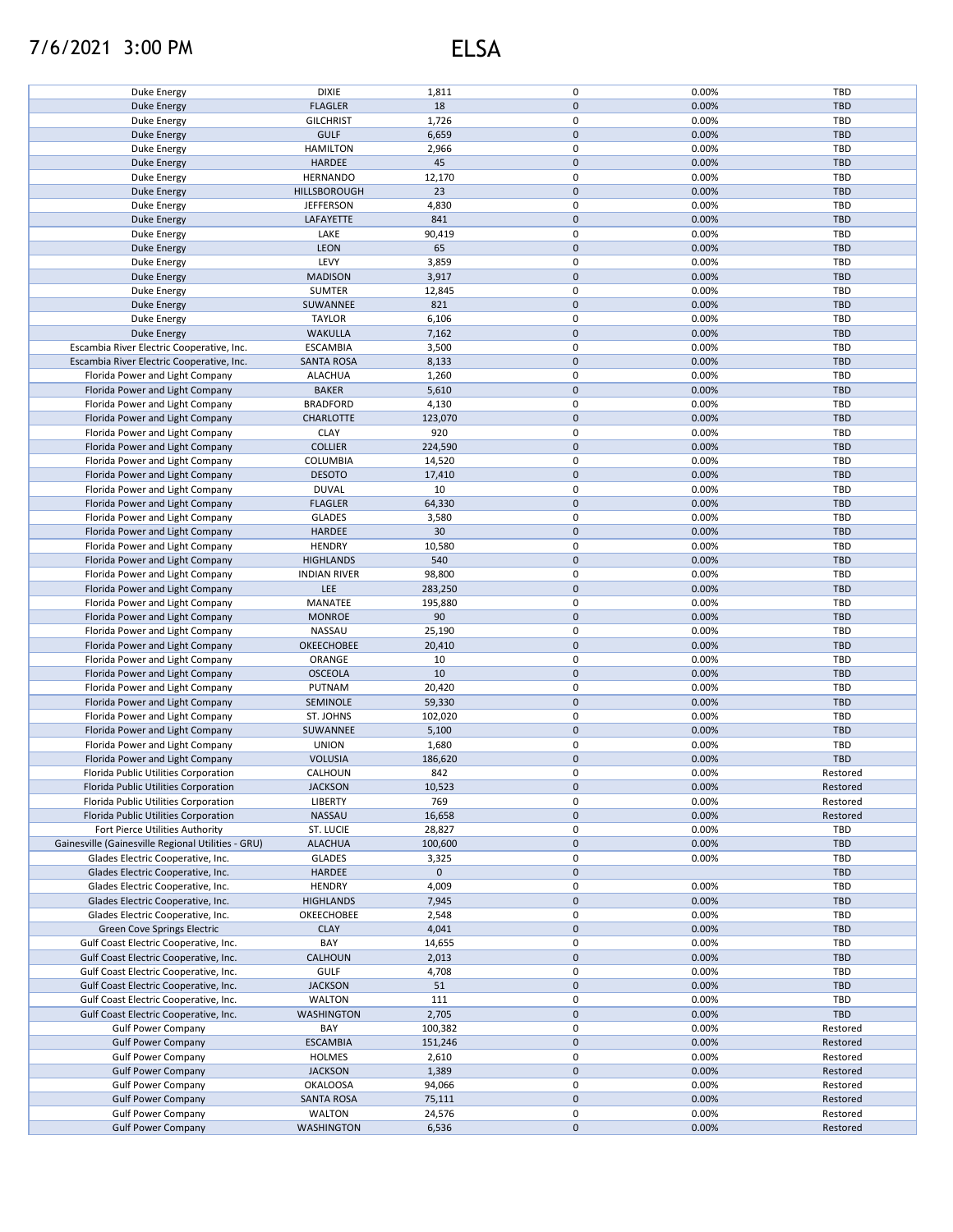## 7/6/2021 3:00 PM ELSA

| Duke Energy                                        | <b>DIXIE</b>        | 1,811       | 0                   | 0.00% | TBD        |
|----------------------------------------------------|---------------------|-------------|---------------------|-------|------------|
|                                                    |                     |             |                     |       |            |
| <b>Duke Energy</b>                                 | <b>FLAGLER</b>      | 18          | $\pmb{0}$           | 0.00% | <b>TBD</b> |
| Duke Energy                                        | <b>GILCHRIST</b>    | 1,726       | $\pmb{0}$           | 0.00% | TBD        |
| <b>Duke Energy</b>                                 | <b>GULF</b>         | 6,659       | $\mathsf{O}\xspace$ | 0.00% | <b>TBD</b> |
| Duke Energy                                        | <b>HAMILTON</b>     | 2,966       | $\pmb{0}$           | 0.00% | <b>TBD</b> |
| <b>Duke Energy</b>                                 | <b>HARDEE</b>       | 45          | $\mathbf 0$         | 0.00% | <b>TBD</b> |
| Duke Energy                                        | <b>HERNANDO</b>     | 12,170      | $\pmb{0}$           | 0.00% | TBD        |
|                                                    |                     |             |                     |       |            |
| <b>Duke Energy</b>                                 | HILLSBOROUGH        | 23          | $\mathbf 0$         | 0.00% | <b>TBD</b> |
| Duke Energy                                        | <b>JEFFERSON</b>    | 4,830       | $\pmb{0}$           | 0.00% | <b>TBD</b> |
| <b>Duke Energy</b>                                 | LAFAYETTE           | 841         | $\pmb{0}$           | 0.00% | <b>TBD</b> |
| Duke Energy                                        | LAKE                | 90,419      | 0                   | 0.00% | TBD        |
| <b>Duke Energy</b>                                 | <b>LEON</b>         | 65          | $\pmb{0}$           | 0.00% | <b>TBD</b> |
| Duke Energy                                        | LEVY                | 3,859       | 0                   | 0.00% | TBD        |
|                                                    |                     |             |                     |       |            |
| <b>Duke Energy</b>                                 | <b>MADISON</b>      | 3,917       | $\pmb{0}$           | 0.00% | <b>TBD</b> |
| Duke Energy                                        | <b>SUMTER</b>       | 12,845      | 0                   | 0.00% | TBD        |
| Duke Energy                                        | SUWANNEE            | 821         | $\pmb{0}$           | 0.00% | <b>TBD</b> |
| Duke Energy                                        | <b>TAYLOR</b>       | 6,106       | 0                   | 0.00% | <b>TBD</b> |
| <b>Duke Energy</b>                                 | <b>WAKULLA</b>      | 7,162       | $\pmb{0}$           | 0.00% | <b>TBD</b> |
|                                                    |                     |             | $\pmb{0}$           |       |            |
| Escambia River Electric Cooperative, Inc.          | <b>ESCAMBIA</b>     | 3,500       |                     | 0.00% | TBD        |
| Escambia River Electric Cooperative, Inc.          | <b>SANTA ROSA</b>   | 8,133       | $\pmb{0}$           | 0.00% | <b>TBD</b> |
| Florida Power and Light Company                    | <b>ALACHUA</b>      | 1,260       | 0                   | 0.00% | TBD        |
| Florida Power and Light Company                    | <b>BAKER</b>        | 5,610       | $\pmb{0}$           | 0.00% | <b>TBD</b> |
| Florida Power and Light Company                    | <b>BRADFORD</b>     | 4,130       | 0                   | 0.00% | TBD        |
|                                                    | CHARLOTTE           | 123,070     | $\pmb{0}$           | 0.00% | <b>TBD</b> |
| Florida Power and Light Company                    |                     |             |                     |       |            |
| Florida Power and Light Company                    | <b>CLAY</b>         | 920         | 0                   | 0.00% | TBD        |
| Florida Power and Light Company                    | <b>COLLIER</b>      | 224,590     | $\pmb{0}$           | 0.00% | <b>TBD</b> |
| Florida Power and Light Company                    | COLUMBIA            | 14,520      | $\pmb{0}$           | 0.00% | <b>TBD</b> |
| Florida Power and Light Company                    | <b>DESOTO</b>       | 17,410      | $\pmb{0}$           | 0.00% | <b>TBD</b> |
| Florida Power and Light Company                    | <b>DUVAL</b>        | 10          | $\pmb{0}$           | 0.00% | TBD        |
|                                                    |                     |             |                     |       |            |
| Florida Power and Light Company                    | <b>FLAGLER</b>      | 64,330      | $\pmb{0}$           | 0.00% | <b>TBD</b> |
| Florida Power and Light Company                    | <b>GLADES</b>       | 3,580       | $\pmb{0}$           | 0.00% | <b>TBD</b> |
| Florida Power and Light Company                    | HARDEE              | 30          | $\pmb{0}$           | 0.00% | <b>TBD</b> |
| Florida Power and Light Company                    | <b>HENDRY</b>       | 10,580      | $\pmb{0}$           | 0.00% | <b>TBD</b> |
| Florida Power and Light Company                    | <b>HIGHLANDS</b>    | 540         | $\pmb{0}$           | 0.00% | <b>TBD</b> |
|                                                    | <b>INDIAN RIVER</b> | 98,800      | 0                   | 0.00% | TBD        |
| Florida Power and Light Company                    |                     |             |                     |       |            |
| Florida Power and Light Company                    | LEE                 | 283,250     | $\pmb{0}$           | 0.00% | <b>TBD</b> |
| Florida Power and Light Company                    | MANATEE             | 195,880     | $\pmb{0}$           | 0.00% | <b>TBD</b> |
| Florida Power and Light Company                    | <b>MONROE</b>       | 90          | $\pmb{0}$           | 0.00% | TBD        |
| Florida Power and Light Company                    | NASSAU              | 25,190      | $\pmb{0}$           | 0.00% | <b>TBD</b> |
| Florida Power and Light Company                    | OKEECHOBEE          | 20,410      | $\pmb{0}$           | 0.00% | <b>TBD</b> |
|                                                    |                     | 10          | 0                   | 0.00% | <b>TBD</b> |
| Florida Power and Light Company                    | ORANGE              |             |                     |       |            |
| Florida Power and Light Company                    | <b>OSCEOLA</b>      | 10          | $\pmb{0}$           | 0.00% | <b>TBD</b> |
| Florida Power and Light Company                    | PUTNAM              | 20,420      | $\pmb{0}$           | 0.00% | <b>TBD</b> |
| Florida Power and Light Company                    | SEMINOLE            | 59,330      | $\pmb{0}$           | 0.00% | <b>TBD</b> |
| Florida Power and Light Company                    | ST. JOHNS           | 102,020     | 0                   | 0.00% | TBD        |
| Florida Power and Light Company                    | SUWANNEE            | 5,100       | $\mathbf 0$         | 0.00% | <b>TBD</b> |
|                                                    |                     |             |                     |       |            |
| Florida Power and Light Company                    | <b>UNION</b>        | 1,680       | 0                   | 0.00% | TBD        |
| Florida Power and Light Company                    | <b>VOLUSIA</b>      | 186,620     | $\pmb{0}$           | 0.00% | <b>TBD</b> |
| Florida Public Utilities Corporation               | CALHOUN             | 842         | $\pmb{0}$           | 0.00% | Restored   |
| Florida Public Utilities Corporation               | <b>JACKSON</b>      | 10,523      | $\pmb{0}$           | 0.00% | Restored   |
| Florida Public Utilities Corporation               | <b>LIBERTY</b>      | 769         | $\pmb{0}$           | 0.00% | Restored   |
| Florida Public Utilities Corporation               | <b>NASSAU</b>       | 16,658      | $\mathsf{O}\xspace$ | 0.00% | Restored   |
|                                                    |                     |             |                     |       |            |
| Fort Pierce Utilities Authority                    | ST. LUCIE           | 28,827      | $\pmb{0}$           | 0.00% | TBD        |
| Gainesville (Gainesville Regional Utilities - GRU) | <b>ALACHUA</b>      | 100,600     | $\mathbf 0$         | 0.00% | <b>TBD</b> |
| Glades Electric Cooperative, Inc.                  | <b>GLADES</b>       | 3,325       | $\pmb{0}$           | 0.00% | TBD        |
| Glades Electric Cooperative, Inc.                  | <b>HARDEE</b>       | $\mathbf 0$ | 0                   |       | <b>TBD</b> |
| Glades Electric Cooperative, Inc.                  | <b>HENDRY</b>       | 4,009       | 0                   | 0.00% | TBD        |
| Glades Electric Cooperative, Inc.                  | <b>HIGHLANDS</b>    | 7,945       | $\pmb{0}$           | 0.00% | <b>TBD</b> |
|                                                    |                     |             |                     |       |            |
| Glades Electric Cooperative, Inc.                  | OKEECHOBEE          | 2,548       | 0                   | 0.00% | TBD        |
| Green Cove Springs Electric                        | <b>CLAY</b>         | 4,041       | $\pmb{0}$           | 0.00% | <b>TBD</b> |
| Gulf Coast Electric Cooperative, Inc.              | BAY                 | 14,655      | 0                   | 0.00% | TBD        |
| Gulf Coast Electric Cooperative, Inc.              | CALHOUN             | 2,013       | 0                   | 0.00% | <b>TBD</b> |
| Gulf Coast Electric Cooperative, Inc.              | <b>GULF</b>         | 4,708       | 0                   | 0.00% | TBD        |
| Gulf Coast Electric Cooperative, Inc.              | <b>JACKSON</b>      | 51          | 0                   | 0.00% | <b>TBD</b> |
|                                                    |                     |             |                     |       |            |
| Gulf Coast Electric Cooperative, Inc.              | <b>WALTON</b>       | 111         | 0                   | 0.00% | TBD        |
| Gulf Coast Electric Cooperative, Inc.              | <b>WASHINGTON</b>   | 2,705       | $\pmb{0}$           | 0.00% | <b>TBD</b> |
| <b>Gulf Power Company</b>                          | BAY                 | 100,382     | 0                   | 0.00% | Restored   |
| <b>Gulf Power Company</b>                          | <b>ESCAMBIA</b>     | 151,246     | $\pmb{0}$           | 0.00% | Restored   |
| <b>Gulf Power Company</b>                          | <b>HOLMES</b>       | 2,610       | 0                   | 0.00% | Restored   |
|                                                    |                     |             |                     |       |            |
| <b>Gulf Power Company</b>                          | <b>JACKSON</b>      | 1,389       | $\mathbf 0$         | 0.00% | Restored   |
| <b>Gulf Power Company</b>                          | <b>OKALOOSA</b>     | 94,066      | 0                   | 0.00% | Restored   |
| <b>Gulf Power Company</b>                          | <b>SANTA ROSA</b>   | 75,111      | $\pmb{0}$           | 0.00% | Restored   |
| <b>Gulf Power Company</b>                          | WALTON              | 24,576      | 0                   | 0.00% | Restored   |
| <b>Gulf Power Company</b>                          | WASHINGTON          | 6,536       | $\mathsf{O}\xspace$ | 0.00% | Restored   |
|                                                    |                     |             |                     |       |            |